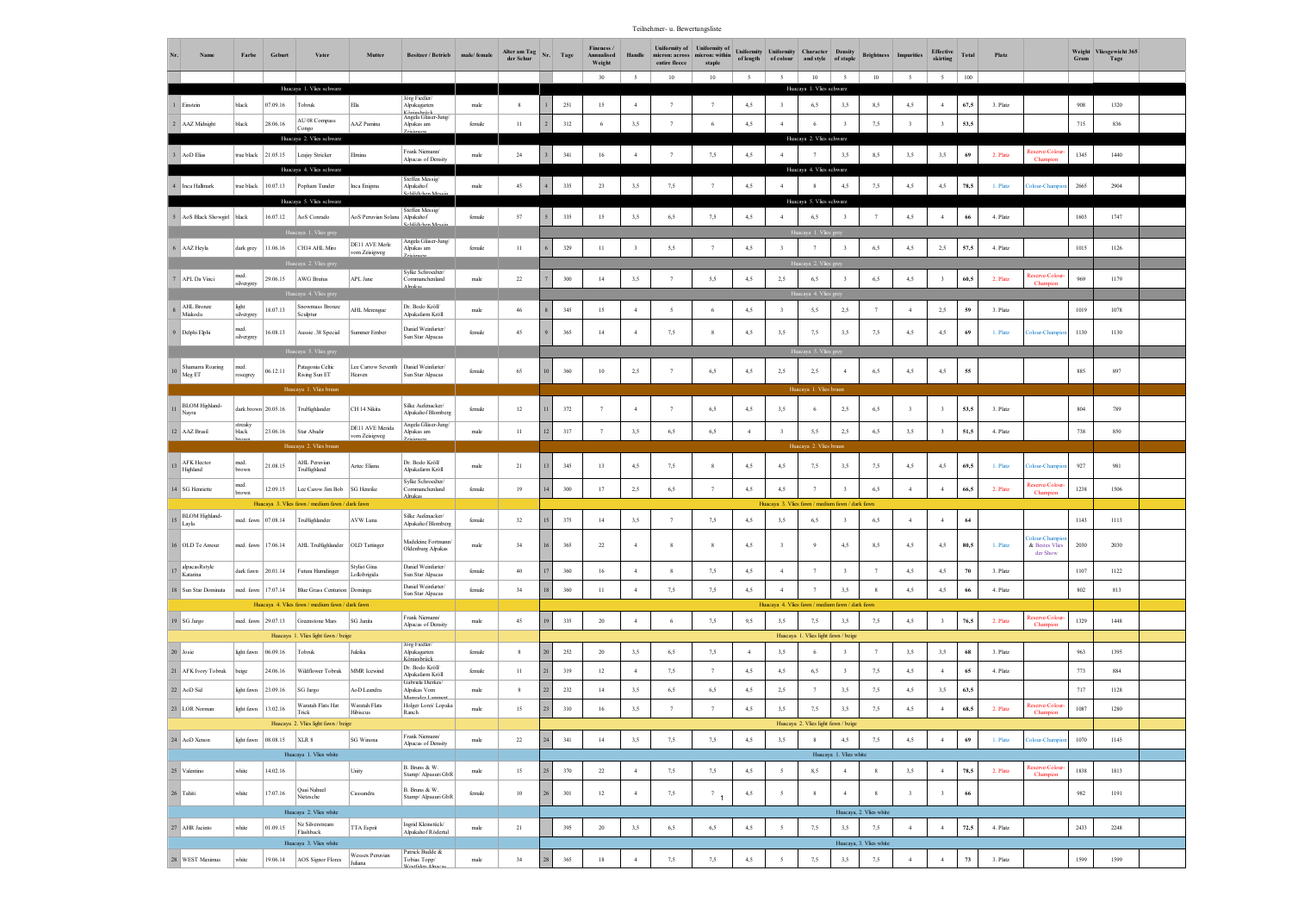Teilnehmer- u. Bewertungsliste

| Nr.             | Name                          | Farbe               | Geburt   | Vater                                                  | Mutter                              | Besitzer / Betrieb                                         | male/female    | Alter am Tag<br>der Schur | Nr. | Tage    | Fineness /<br>Annualised<br>Weight<br>$30^{\circ}$ | Handle<br>$\sim$        | Uniformity of Uniformity of<br>micron: across   micron: within<br>entire fleece<br>10 | staple          | of length<br>$\sim$ | $\sim$                  | Uniformity Uniformity Character Density<br>of colour and style of staple<br>10 | $\sim$                                   | <b>Brightness</b>              | <b>Impurities</b><br>$\sim$ | <b>Effective</b><br>skirting<br>5 | Total       | Platz    |                            | Gram    | Weight Vliesgewicht 365<br>Tage |  |
|-----------------|-------------------------------|---------------------|----------|--------------------------------------------------------|-------------------------------------|------------------------------------------------------------|----------------|---------------------------|-----|---------|----------------------------------------------------|-------------------------|---------------------------------------------------------------------------------------|-----------------|---------------------|-------------------------|--------------------------------------------------------------------------------|------------------------------------------|--------------------------------|-----------------------------|-----------------------------------|-------------|----------|----------------------------|---------|---------------------------------|--|
|                 |                               |                     |          | Huacaya 1. Vlies schwarz                               |                                     |                                                            |                |                           |     |         |                                                    |                         |                                                                                       | 10              |                     |                         | Huacaya 1. Vlies schwarz                                                       |                                          | 10                             |                             |                                   | $100\,$     |          |                            |         |                                 |  |
|                 | 1 Einstein                    | black               | 07.09.16 | Tobruk                                                 | Ella                                | Jörg Fiedler/<br>Alpakagarten                              | male           | $\,$ 8                    |     | 251     | 15                                                 | $\overline{4}$          |                                                                                       |                 | 4,5                 |                         | 6,5                                                                            | 3,5                                      | 8,5                            | 4,5                         | $\overline{4}$                    | 67,5        | 3. Platz |                            | 908     | 1320                            |  |
|                 | 2 AAZ Midnight                | black               | 28.06.16 | AU 08 Compass<br>Congo                                 | AAZ Pamina                          | Känigsbrück<br>Angela Gläser-Jung<br>Alpakas am            | female         | $_{11}$                   |     | 312     |                                                    | 3,5                     |                                                                                       | 6               | 4,5                 | $\overline{4}$          | 6                                                                              |                                          | 7,5                            | $\overline{\mathbf{3}}$     | 3                                 | 53,5        |          |                            | $715\,$ | 836                             |  |
|                 | 3 AoD Elias                   | true black          | 21.05.15 | Huacaya 2. Vlies schwarz<br>Leajay Stricker            | Elmina                              | Frank Niemann/<br>Alpacas of Density                       | male           | 24                        |     | 341     | 16                                                 | $\overline{4}$          |                                                                                       | 7,5             | 4,5                 |                         | Huacaya 2. Vlies schwarz                                                       | 3,5                                      | 8,5                            | 3,5                         | 3.5                               | 69          | 2. Platz | eserve-Colo                | 1345    | 1440                            |  |
|                 | 4 Inca Hallmark               | true black          | 10.07.13 | Huacaya 4. Vlies schwarz<br>Popham Tunder              | Inca Enigms                         | <b>Steffen Messig/</b><br>Alpakahof<br><b>ChiSBehen M</b>  | male           | 45                        |     | 335     | $23\,$                                             | 3,5                     | 7,5                                                                                   | $\overline{7}$  | 4,5                 | $\boldsymbol{\Lambda}$  | Huacaya 4. Vlies schwarz                                                       | 4,5                                      | 7,5                            | 4,5                         | 4,5                               | 78,5        | 1. Platz | blour-Champ                | 2665    | 2904                            |  |
|                 |                               |                     |          | Huacaya 5. Vlies schwarz                               |                                     | <b>Steffen Messig/</b>                                     |                |                           |     |         |                                                    |                         |                                                                                       |                 |                     |                         | Huacaya 5. Vlies schwarz                                                       |                                          |                                |                             |                                   |             |          |                            |         |                                 |  |
|                 | 5 AoS Black Showgirl black    |                     | 16.07.12 | AoS Conrado                                            | AoS Peruvian Solana Alpakahof       | <b>Schläßehen Me</b>                                       | female         | 57                        |     | 335     | 15                                                 | 3,5                     | 6.5                                                                                   | 7.5             | 4,5                 | $\overline{4}$          | 6.5                                                                            |                                          |                                | 4,5                         | $\overline{4}$                    | 66          | 4. Platz |                            | 1603    | 1747                            |  |
|                 | 6 AAZ Heyla                   | dark grey           | 11.06.16 | Huacaya 1. Vlies grey<br>CH14 AHL Miro                 | DE11 AVE Merle                      | Angela Gläser-Jung/<br>Alpakas am                          | female         | $11\,$                    |     | 329     | $^{11}$                                            | $\overline{\mathbf{3}}$ | 5,5                                                                                   |                 | 4,5                 |                         | a 1. Vlies                                                                     |                                          | 6,5                            | 4,5                         | 2,5                               | 57,5        | 4. Platz |                            | 1015    | 1126                            |  |
|                 |                               |                     |          | a 2. Vlies g                                           | vom Zeisigweg                       |                                                            |                |                           |     |         |                                                    |                         |                                                                                       |                 |                     |                         |                                                                                |                                          |                                |                             |                                   |             |          |                            |         |                                 |  |
|                 | 7 APL Da Vinci                | med.<br>silvergrey  | 29.06.15 | <b>AWG Brutus</b>                                      | APL Jane                            | Sylke Schroedter/<br>Commanchenland<br>Alnakac             | $_{\rm male}$  | $22\,$                    |     | 300     | 14                                                 | 3,5                     |                                                                                       | 5,5             | 4,5                 | 2,5                     | 6,5                                                                            |                                          | 6,5                            | 4,5                         | $\overline{\mathbf{3}}$           | 60,5        | 2. Platz | eserve-Colou<br>Champion   | 969     | 1179                            |  |
|                 | AHL Bronze<br>Miakoda         | light<br>silvergrey | 8.07.13  | Huacaya 4. Vlies grej<br>Snowmass Bronze<br>Sculptur   | AHL Merengue                        | Dr. Bodo Kröll<br>Alpakafarm Kröll                         | male           | 46                        |     | 345     | 15                                                 | $\overline{4}$          | $\tilde{\mathbf{z}}$                                                                  | 6               | 4,5                 |                         | 5,5                                                                            | 2,5                                      |                                | $\overline{4}$              | 2,5                               | $\sqrt{59}$ | 3. Platz |                            | 1019    | 1078                            |  |
|                 | 9 Delphi Elphi                | med.<br>silvergrey  | 16.08.13 | Aussie .38 Special                                     | <b>Summer Ember</b>                 | Daniel Weinfurter/<br>Sun Star Alpacas                     | female         | 45                        |     | 365     | 14                                                 | $\overline{4}$          | 7,5                                                                                   | 8               | 4,5                 | 3,5                     | 7,5                                                                            | 3,5                                      | 7.5                            | 4.5                         | 4,5                               | 69          | 1. Platz | <b>Colour-Champion</b>     | 1130    | 1130                            |  |
|                 |                               |                     |          | łuacaya 5. Vlies grey                                  |                                     |                                                            |                |                           |     |         |                                                    |                         |                                                                                       |                 |                     |                         |                                                                                |                                          |                                |                             |                                   |             |          |                            |         |                                 |  |
|                 | Shamarra Roaring<br>Meg ET    | med.<br>osegrey     | 06.12.11 | Patagonia Celtic<br>Rising Sun ET                      | Lee Carrow Seventh<br>Heaven        | Daniel Weinfurter/<br>Sun Star Alpacas                     | female         | 65                        |     | 360     | 10                                                 | 2,5                     | 7                                                                                     | 6,5             | 4,5                 | 2,5                     | 2,5                                                                            |                                          | 6,5                            | 4,5                         | 4,5                               | 55          |          |                            | 885     | 897                             |  |
|                 |                               |                     |          | Huacaya 1. Vlies braun                                 |                                     |                                                            |                |                           |     |         |                                                    |                         |                                                                                       |                 |                     | Hua                     | iva 1. Vlies b                                                                 |                                          |                                |                             |                                   |             |          |                            |         |                                 |  |
| $\overline{11}$ | <b>BLOM</b> Highland<br>Nayra | dark brown 20.05.16 |          | TruHighlander                                          | CH 14 Nikita                        | Silke Aufenacker<br>Alpakahof Blomberg                     | female         | 12                        |     | 372     |                                                    | $\overline{4}$          | $\overline{7}$                                                                        | 6,5             | 4,5                 | 3,5                     | -6                                                                             | 2,5                                      | 6,5                            |                             | $\overline{\mathbf{3}}$           | 53,5        | 3. Platz |                            | 804     | 789                             |  |
|                 | 12 AAZ Brasil                 | streaky<br>black    | 23.06.16 | $\operatorname{\mathsf{Star}}\nolimits$ Abadir         | DE11 AVE Merida<br>vom Zeisigweg    | Angela Gläser-Jung/<br>Alpakas am<br>Zeiciaussa            | male           | $_{11}$                   |     | 317     | $\overline{7}$                                     | 3,5                     | 6,5                                                                                   | 6,5             | $\overline{4}$      | $\overline{\mathbf{3}}$ | 5,5                                                                            | 2,5                                      | 6,5                            | 3,5                         | $\overline{\mathbf{3}}$           | 51,5        | 4. Platz |                            | 738     | 850                             |  |
|                 |                               |                     |          | Huacaya 2. Vlies braur                                 |                                     |                                                            |                |                           |     |         |                                                    |                         |                                                                                       |                 |                     |                         | Huacava 2. Vlies braun                                                         |                                          |                                |                             |                                   |             |          |                            |         |                                 |  |
| 13              | AFK Hector<br>Highland        | med.<br>brown       | 21.08.15 | AHL Peruvian<br>TruHighland                            | Aztec Eliana                        | Dr. Bodo Kröll/<br>Alpakafarm Kröll                        | male           | 21                        |     | 345     | 13                                                 | 4,5                     | 7,5                                                                                   | 8               | 4,5                 | 4,5                     | 7,5                                                                            | 3,5                                      | 7.5                            | 4,5                         | 4,5                               | 69,5        | 1. Platz | <b>Colour-Champi</b>       | 927     | 981                             |  |
|                 | 14 SG Henriette               | med.<br>brown       | 12.09.15 | Lee Carow Jim Bob                                      | SG Henrike                          | Sylke Schroedter<br>Commanchenland<br>Alnakac              | ${\rm female}$ | 19                        |     | 300     | 17                                                 | 2,5                     | 6,5                                                                                   | $\overline{7}$  | 4,5                 | 4,5                     | 7                                                                              |                                          | 6,5                            | $\overline{4}$              | $\overline{4}$                    | 66,5        | 2. Platz | Reserve-Colou<br>Champion  | 1238    | 1506                            |  |
|                 | BLOM Highland-                | med. fawn           | 07.08.14 | Huacaya 3. Vlies fawn / medium fawn / dark fawn        | AVW Luna                            | Silke Aufenacker/                                          | female         |                           |     | 375     | 14                                                 | 3,5                     | 7                                                                                     | 7,5             |                     | 3,5                     | Huacaya 3. Vlies fawn / medium fawn / dark fawn                                |                                          |                                | $\overline{4}$              | $\overline{4}$                    | $\bf 64$    |          |                            | 1143    | 1113                            |  |
|                 | Layla                         |                     |          | TruHighlander                                          |                                     | Alpakahof Blomberg                                         |                | 32                        |     |         |                                                    |                         |                                                                                       |                 | 4,5                 |                         | 6,5                                                                            |                                          | 6,5                            |                             |                                   |             |          | olour-Champ                |         |                                 |  |
|                 | 16 OLD Te Amour               | med. fawn           | 17.06.14 | AHL TruHighlander                                      | OLD Tattinger                       | Madeleine Fortmann<br>Oldenburg Alpakas                    | male           | 34                        |     | 365     | $22\,$                                             | $\overline{4}$          | 8                                                                                     | 8               | 4,5                 | $\mathbf{3}$            | Q                                                                              | 4,5                                      | 8,5                            | 4,5                         | 4,5                               | 80,5        | 1. Platz | & Bestes Vlies<br>der Show | 2030    | 2030                            |  |
| 17              | alpacasRstyle<br>Katarina     | dark fawn           | 20.01.14 | Jutura Humdinger                                       | <b>Stylist Gina</b><br>Lollobrigida | Daniel Weinfurter/<br>Sun Star Alpacas                     | female         | 40                        |     | 360     | 16                                                 | $\overline{4}$          | 8                                                                                     | 7,5             | 4,5                 | $\overline{4}$          | $\overline{7}$                                                                 |                                          | $\overline{7}$                 | 4,5                         | 4,5                               | 70          | 3. Platz |                            | 1107    | 1122                            |  |
|                 | 18 Sun Star Dominata          | med. fawn           | 17.07.14 | Blue Grass Centurion Dominga                           |                                     | Daniel Weinfurter/<br>Sun Star Alpacas                     | female         | 34                        |     | 360     | $\!1$                                              | $\overline{4}$          | 7,5                                                                                   | 7,5             | 4,5                 | $\overline{4}$          | $\overline{7}$                                                                 | 3,5                                      |                                | 4,5                         | 4,5                               | 66          | 4. Platz |                            | $802\,$ | 813                             |  |
|                 |                               | med. fawn 29.07.13  |          | Huacaya 4. Vlies fawn / medium fawn / dark fawn        | SG Janita                           | Frank Niemann/                                             |                |                           |     | 335     |                                                    |                         |                                                                                       |                 |                     |                         | Huacaya 4. Vlies fawn / medium fawn / dark fawn                                |                                          |                                |                             | $\overline{\mathbf{3}}$           |             |          | leserve-Colour             |         | 1448                            |  |
|                 | 19 SG Jargo                   |                     |          | Greenstone Mars<br>Huacaya 1. Vlies light fawn / beige |                                     | Alpacas of Density                                         | male           | 45                        |     |         | $20\,$                                             | $\overline{4}$          | 6                                                                                     | 7,5             | 9,5                 | 3,5                     | 7,5<br>Huacaya 1. Vlies light fawn / beige                                     | 3,5                                      | 7,5                            | 4,5                         |                                   | 76,5        | 2. Platz | Champion                   | 1329    |                                 |  |
| 20 Josie        |                               | light fawn          | 06.09.16 | Tobruk                                                 | Juleika                             | Jörg Fiedler/<br>Alpakagarten                              | female         | $\,$ 8                    |     | 252     | $20\,$                                             | 3,5                     | 6,5                                                                                   | 7,5             |                     | 3,5                     |                                                                                |                                          |                                | 3,5                         | 3,5                               | 68          | 3. Platz |                            | 963     | 1395                            |  |
|                 | 21 AFK Ivory Tobruk           | beige               | 24.06.16 | Wildflower Tobruk                                      | MMR Icewind                         | Käniochritek<br>Dr. Bodo Kröll/<br>Alpakafarm Kröll        | female         | 11                        |     | 319     | $12\,$                                             | $\overline{4}$          | 7,5                                                                                   | $\overline{7}$  | 4,5                 | 4,5                     | 6,5                                                                            |                                          | 7,5                            | 4,5                         | $\overline{4}$                    | 65          | 4. Platz |                            | 773     | 884                             |  |
|                 | 22 AoD Sid                    | light fawn          | 23.09.16 | SG Jargo                                               | AoD Leandra                         | Gabriela Dierkes/<br>Alpakas Vom                           | male           | 8                         |     | $232\,$ | 14                                                 | 3,5                     | 6,5                                                                                   | 6,5             | 4,5                 | 2,5                     | 7                                                                              | 3,5                                      | 7,5                            | 4,5                         | 3,5                               | 63,5        |          |                            | $717\,$ | 1128                            |  |
|                 | 23 LOR Norman                 | light fawn          | 13.02.16 | Waratah Flats Hat<br>Trick                             | Waratah Flats<br>Hibiscus           | Mannador I an<br>Holger Lorei <sup>/</sup> Lopaka<br>Ranch | $_{\rm male}$  | 15                        |     | 310     | 16                                                 | 3,5                     | $\tau$                                                                                | $\overline{7}$  | 4,5                 | 3,5                     | 7,5                                                                            | 3,5                                      | 7,5                            | 4,5                         | $\overline{4}$                    | 68,5        | 2. Platz | Reserve-Colou<br>Champion  | 1087    | 1280                            |  |
|                 |                               |                     |          | Huacaya 2. Vlies light fawn / beige                    |                                     |                                                            |                |                           |     |         |                                                    |                         |                                                                                       |                 |                     |                         | Huacaya 2. Vlies light fawn / beige                                            |                                          |                                |                             |                                   |             |          |                            |         |                                 |  |
|                 | 24 AoD Xenon                  | light fawn 08.08.15 |          | $XLR$ 8                                                | SG Winona                           | Frank Niemann/<br>Alpacas of Density                       | $_{\rm male}$  | $22\,$                    |     | 341     | 14                                                 | 3,5                     | 7,5                                                                                   | 7,5             | 4,5                 | 3,5                     | $\,$ 8 $\,$                                                                    | 4,5                                      | 7,5                            | 4,5                         | $\overline{4}$                    | $\bf 69$    | 1. Platz | <b>Colour-Champ</b>        | 1070    | 1145                            |  |
|                 | 25 Valentino                  | white               | 14.02.16 | Huacaya 1. Vlies white                                 | Unity                               | B. Bruns & W.                                              |                | 15                        |     | 370     | $22\,$                                             | $\overline{4}$          | 7,5                                                                                   | 7,5             | 4,5                 | $\mathfrak{s}$          | 8,5                                                                            | Huacaya 1. Vlies white<br>$\overline{4}$ | 8                              | 3,5                         | $\overline{4}$                    | 78,5        | 2. Platz | teserve-Colou              | 1838    | 1813                            |  |
|                 |                               |                     |          | Quai Nahuel                                            |                                     | Stamp/ Alpasuri GbR<br>B. Bruns & W.                       | $_{\rm male}$  |                           |     |         |                                                    |                         |                                                                                       |                 |                     |                         |                                                                                |                                          |                                |                             |                                   |             |          | Champion                   |         |                                 |  |
| 26 Tahiti       |                               | white               | 17.07.16 | Nietzsche                                              | Cassandra                           | Stamp/ Alpasuri GbR                                        | female         | 10                        |     | 301     | 12                                                 | $\overline{4}$          | 7,5                                                                                   | $\frac{7}{1}$ 1 | 4,5                 | 5                       | $\overline{\mathbf{R}}$                                                        | $\overline{4}$                           |                                | $\overline{\mathbf{3}}$     | $\overline{\mathbf{3}}$           | 66          |          |                            | 982     | 1191                            |  |
|                 | 27 AHR Jacinto                |                     | 01.09.15 | Huacaya 2. Vlies white<br>Nz Silverstream              | TTA Esprit                          | Ingrid Kleinstück/                                         |                |                           |     | 395     |                                                    | 3,5                     | 6,5                                                                                   | 6,5             | 4,5                 | $\overline{5}$          | 7,5                                                                            | 3,5                                      | Huacaya, 2. Vlies white<br>7,5 | $\overline{4}$              | $\overline{4}$                    | 72,5        | 4. Platz |                            | 2433    | 2248                            |  |
|                 |                               | white               |          | Flashback<br>Huacaya 3. Vlies white                    |                                     | Alpakahof Rödertal                                         | $_{\rm male}$  | 21                        |     |         | $20\,$                                             |                         |                                                                                       |                 |                     |                         |                                                                                |                                          | Huacaya, 3. Vlies white        |                             |                                   |             |          |                            |         |                                 |  |
|                 | 28 WEST Maximus               | white               | 19.06.14 | AOS Signor Flores                                      | Wessex Peruvian<br>Juliana          | Patrick Budde &<br>Tobias Topp/<br><b>Vectfalen Alna</b>   | $_{\rm male}$  | 34                        |     | 365     | $18\,$                                             | $\overline{4}$          | 7,5                                                                                   | 7,5             | 4,5                 | 5                       | 7,5                                                                            | 3,5                                      | 7,5                            | $\overline{4}$              | $\overline{4}$                    | $73\,$      | 3. Platz |                            | 1599    | 1599                            |  |